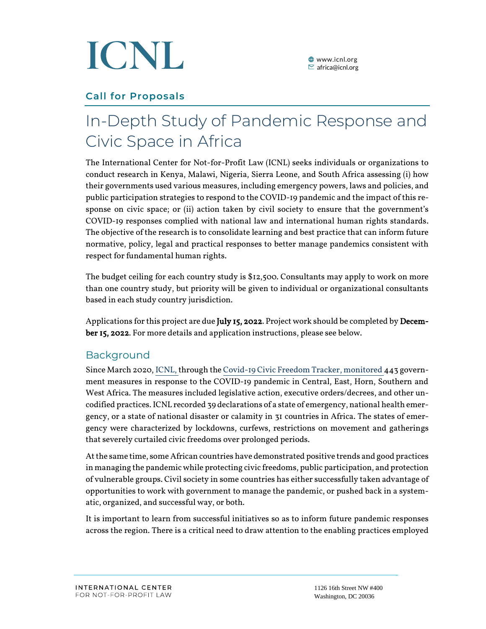

# **Call for Proposals**

# In-Depth Study of Pandemic Response and Civic Space in Africa

The International Center for Not-for-Profit Law (ICNL) seeks individuals or organizations to conduct research in Kenya, Malawi, Nigeria, Sierra Leone, and South Africa assessing (i) how their governments used various measures, including emergency powers, laws and policies, and public participation strategies to respond to the COVID-19 pandemic and the impact of this response on civic space; or (ii) action taken by civil society to ensure that the government's COVID-19 responses complied with national law and international human rights standards. The objective of the research is to consolidate learning and best practice that can inform future normative, policy, legal and practical responses to better manage pandemics consistent with respect for fundamental human rights.

The budget ceiling for each country study is \$12,500. Consultants may apply to work on more than one country study, but priority will be given to individual or organizational consultants based in each study country jurisdiction.

Applications for this project are due July 15, 2022. Project work should be completed by December 15, 2022. For more details and application instructions, please see below.

# Background

Since March 2020, ICNL, through th[e Covid-19 Civic Freedom Tracker,](https://www.icnl.org/covid19tracker/?location=36&issue=&date=&type=) monitored 443 government measures in response to the COVID-19 pandemic in Central, East, Horn, Southern and West Africa. The measures included legislative action, executive orders/decrees, and other uncodified practices. ICNL recorded 39 declarations of a state of emergency, national health emergency, or a state of national disaster or calamity in 31 countries in Africa. The states of emergency were characterized by lockdowns, curfews, restrictions on movement and gatherings that severely curtailed civic freedoms over prolonged periods.

At the same time, some African countries have demonstrated positive trends and good practices in managing the pandemicwhile protecting civic freedoms, public participation, and protection of vulnerable groups. Civil society in some countries has either successfully taken advantage of opportunities to work with government to manage the pandemic, or pushed back in a systematic, organized, and successful way, or both.

It is important to learn from successful initiatives so as to inform future pandemic responses across the region. There is a critical need to draw attention to the enabling practices employed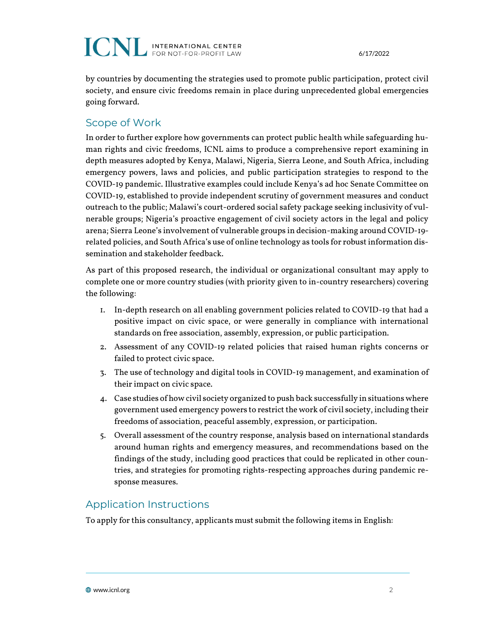# **ICNL INTERNATIONAL CENTER**

by countries by documenting the strategies used to promote public participation, protect civil society, and ensure civic freedoms remain in place during unprecedented global emergencies going forward.

#### Scope of Work

In order to further explore how governments can protect public health while safeguarding human rights and civic freedoms, ICNL aims to produce a comprehensive report examining in depth measures adopted by Kenya, Malawi, Nigeria, Sierra Leone, and South Africa, including emergency powers, laws and policies, and public participation strategies to respond to the COVID-19 pandemic. Illustrative examples could include Kenya's ad hoc Senate Committee on COVID-19, established to provide independent scrutiny of government measures and conduct outreach to the public; Malawi's court-ordered social safety package seeking inclusivity of vulnerable groups; Nigeria's proactive engagement of civil society actors in the legal and policy arena; Sierra Leone's involvement of vulnerable groups in decision-making around COVID-19 related policies, and South Africa's use of online technology as tools for robust information dissemination and stakeholder feedback.

As part of this proposed research, the individual or organizational consultant may apply to complete one or more country studies (with priority given to in-country researchers) covering the following:

- 1. In-depth research on all enabling government policies related to COVID-19 that had a positive impact on civic space, or were generally in compliance with international standards on free association, assembly, expression, or public participation.
- 2. Assessment of any COVID-19 related policies that raised human rights concerns or failed to protect civic space.
- 3. The use of technology and digital tools in COVID-19 management, and examination of their impact on civic space.
- 4. Case studies of how civil society organized to push back successfully in situations where government used emergency powers to restrict the work of civil society, including their freedoms of association, peaceful assembly, expression, or participation.
- 5. Overall assessment of the country response, analysis based on international standards around human rights and emergency measures, and recommendations based on the findings of the study, including good practices that could be replicated in other countries, and strategies for promoting rights-respecting approaches during pandemic response measures.

# Application Instructions

To apply for this consultancy, applicants must submit the following items in English: